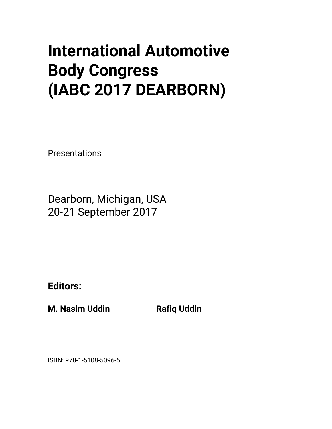## **International Automotive Body Congress (IABC 2017 DEARBORN)**

Presentations

Dearborn, Michigan, USA 20-21 September 2017

**Editors:** 

**M. Nasim Uddin Communist Rafiq Uddin** 

ISBN: 978-1-5108-5096-5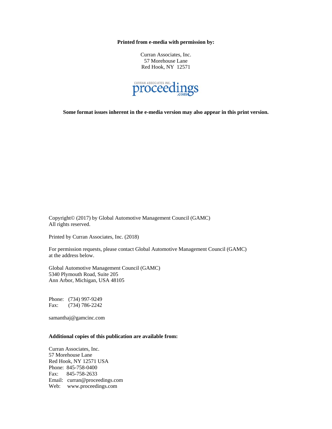**Printed from e-media with permission by:** 

Curran Associates, Inc. 57 Morehouse Lane Red Hook, NY 12571



**Some format issues inherent in the e-media version may also appear in this print version.** 

Copyright© (2017) by Global Automotive Management Council (GAMC) All rights reserved.

Printed by Curran Associates, Inc. (2018)

For permission requests, please contact Global Automotive Management Council (GAMC) at the address below.

Global Automotive Management Council (GAMC) 5340 Plymouth Road, Suite 205 Ann Arbor, Michigan, USA 48105

Phone: (734) 997-9249 Fax: (734) 786-2242

samanthaj@gamcinc.com

## **Additional copies of this publication are available from:**

Curran Associates, Inc. 57 Morehouse Lane Red Hook, NY 12571 USA Phone: 845-758-0400 Fax: 845-758-2633 Email: curran@proceedings.com Web: www.proceedings.com